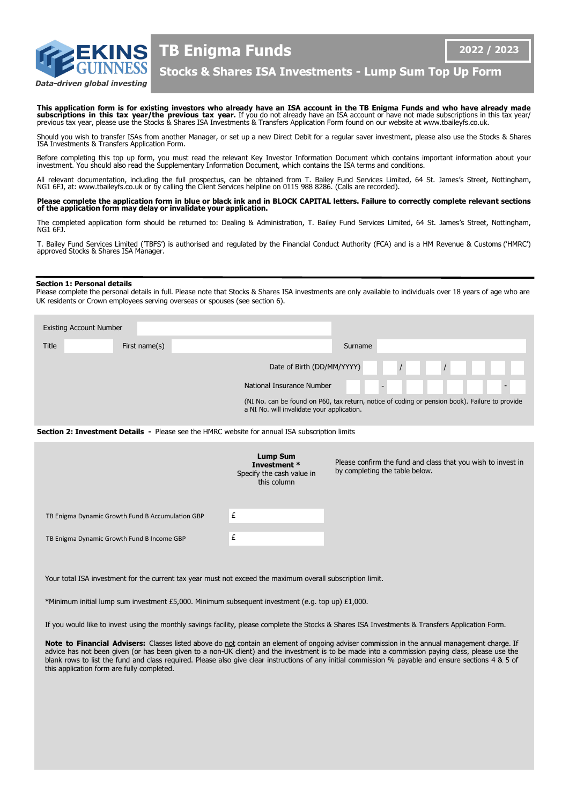

Data-driven global investing

**TB Enigma Funds**

**2022 / 2023**

**Stocks & Shares ISA Investments - Lump Sum Top Up Form**

**This application form is for existing investors who already have an ISA account in the TB Enigma Funds and who have already made<br>subscriptions in this tax year/the previous tax year. If you do not already have an ISA acco** 

Should you wish to transfer ISAs from another Manager, or set up a new Direct Debit for a regular saver investment, please also use the Stocks & Shares ISA Investments & Transfers Application Form.

Before completing this top up form, you must read the relevant Key Investor Information Document which contains important information about your<br>investment. You should also read the Supplementary Information Document, whic

All relevant documentation, including the full prospectus, can be obtained from T. Bailey Fund Services Limited, 64 St. James's Street, Nottingham, NG1 6FJ, at: www.tbaileyfs.co.uk or by calling the Client Services helpline on 0115 988 8286. (Calls are recorded).

**Please complete the application form in blue or black ink and in BLOCK CAPITAL letters. Failure to correctly complete relevant sections of the application form may delay or invalidate your application.**

The completed application form should be returned to: Dealing & Administration, T. Bailey Fund Services Limited, 64 St. James's Street, Nottingham, NG1 6FJ.

T. Bailey Fund Services Limited ('TBFS') is authorised and regulated by the Financial Conduct Authority (FCA) and is a HM Revenue & Customs ('HMRC') approved Stocks & Shares ISA Manager.

### **Section 1: Personal details**

Please complete the personal details in full. Please note that Stocks & Shares ISA investments are only available to individuals over 18 years of age who are UK residents or Crown employees serving overseas or spouses (see section 6).

| <b>Existing Account Number</b> |               |                                                                                                                                              |  |  |
|--------------------------------|---------------|----------------------------------------------------------------------------------------------------------------------------------------------|--|--|
| <b>Title</b>                   | First name(s) | Surname                                                                                                                                      |  |  |
|                                |               | $\sqrt{ }$<br>Date of Birth (DD/MM/YYYY)                                                                                                     |  |  |
|                                |               | National Insurance Number<br>$\blacksquare$                                                                                                  |  |  |
|                                |               | (NI No. can be found on P60, tax return, notice of coding or pension book). Failure to provide<br>a NI No. will invalidate your application. |  |  |

**Section 2: Investment Details -** Please see the HMRC website for annual ISA subscription limits

|                                                  | Lump Sum<br>Investment *<br>Specify the cash value in<br>this column | Please confirm the fund and class that you wish to invest in<br>by completing the table below. |
|--------------------------------------------------|----------------------------------------------------------------------|------------------------------------------------------------------------------------------------|
| TB Enigma Dynamic Growth Fund B Accumulation GBP | £                                                                    |                                                                                                |
| TB Enigma Dynamic Growth Fund B Income GBP       | £                                                                    |                                                                                                |

Your total ISA investment for the current tax year must not exceed the maximum overall subscription limit.

\*Minimum initial lump sum investment £5,000. Minimum subsequent investment (e.g. top up) £1,000.

If you would like to invest using the monthly savings facility, please complete the Stocks & Shares ISA Investments & Transfers Application Form.

Note to Financial Advisers: Classes listed above do not contain an element of ongoing adviser commission in the annual management charge. If advice has not been given (or has been given to a non-UK client) and the investment is to be made into a commission paying class, please use the blank rows to list the fund and class required. Please also give clear instructions of any initial commission % payable and ensure sections 4 & 5 of this application form are fully completed.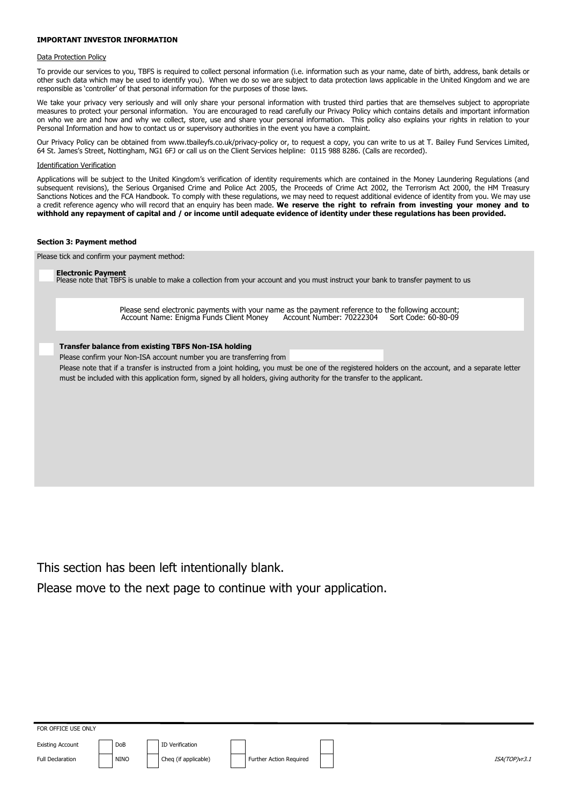## **IMPORTANT INVESTOR INFORMATION**

### Data Protection Policy

To provide our services to you, TBFS is required to collect personal information (i.e. information such as your name, date of birth, address, bank details or other such data which may be used to identify you). When we do so we are subject to data protection laws applicable in the United Kingdom and we are responsible as 'controller' of that personal information for the purposes of those laws.

We take your privacy very seriously and will only share your personal information with trusted third parties that are themselves subject to appropriate measures to protect your personal information. You are encouraged to read carefully our Privacy Policy which contains details and important information on who we are and how and why we collect, store, use and share your personal information. This policy also explains your rights in relation to your Personal Information and how to contact us or supervisory authorities in the event you have a complaint.

Our Privacy Policy can be obtained from www.tbaileyfs.co.uk/privacy-policy or, to request a copy, you can write to us at T. Bailey Fund Services Limited, 64 St. James's Street, Nottingham, NG1 6FJ or call us on the Client Services helpline: 0115 988 8286. (Calls are recorded).

### Identification Verification

Applications will be subject to the United Kingdom's verification of identity requirements which are contained in the Money Laundering Regulations (and subsequent revisions), the Serious Organised Crime and Police Act 2005, the Proceeds of Crime Act 2002, the Terrorism Act 2000, the HM Treasury Sanctions Notices and the FCA Handbook. To comply with these regulations, we may need to request additional evidence of identity from you. We may use a credit reference agency who will record that an enquiry has been made. **We reserve the right to refrain from investing your money and to withhold any repayment of capital and / or income until adequate evidence of identity under these regulations has been provided.**

### **Section 3: Payment method**

Please tick and confirm your payment method:

### **Electronic Payment**

Please note that TBFS is unable to make a collection from your account and you must instruct your bank to transfer payment to us

Please send electronic payments with your name as the payment reference to the following account;<br>Account Name: Enigma Funds Client Money Account Number: 70222304 Sort Code: 60-80-09 Account Name: Enigma Funds Client Money

## **Transfer balance from existing TBFS Non-ISA holding**

Please confirm your Non-ISA account number you are transferring from

Please note that if a transfer is instructed from a joint holding, you must be one of the registered holders on the account, and a separate letter must be included with this application form, signed by all holders, giving authority for the transfer to the applicant.

This section has been left intentionally blank.

Please move to the next page to continue with your application.

FOR OFFICE USE ONLY

Existing Account DoB ID Verification

Full Declaration **NINO** NINO Cheq (if applicable) Further Action Required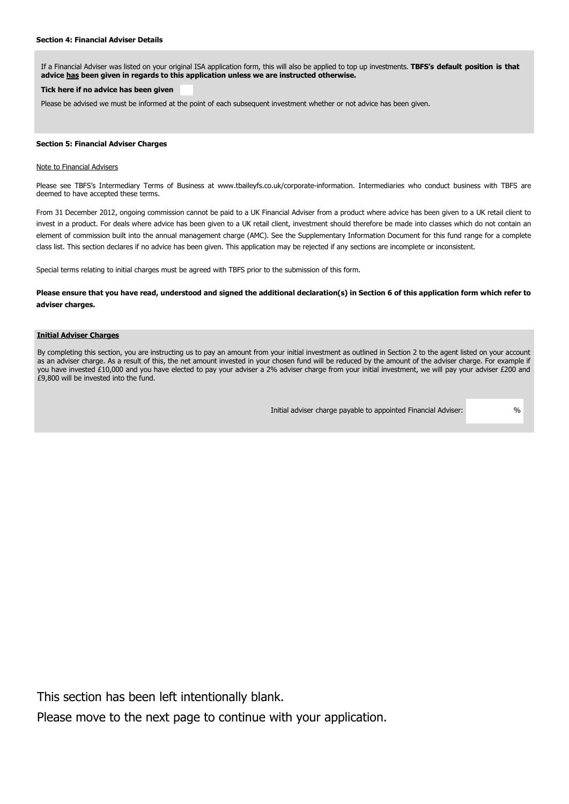## **Section 4: Financial Adviser Details**

If a Financial Adviser was listed on your original ISA application form, this will also be applied to top up investments. **TBFS's default position is that advice has been given in regards to this application unless we are instructed otherwise.** 

# **Tick here if no advice has been given**

Please be advised we must be informed at the point of each subsequent investment whether or not advice has been given.

# **Section 5: Financial Adviser Charges**

### Note to Financial Advisers

Please see TBFS's Intermediary Terms of Business at www.tbaileyfs.co.uk/corporate-information. Intermediaries who conduct business with TBFS are deemed to have accepted these terms.

From 31 December 2012, ongoing commission cannot be paid to a UK Financial Adviser from a product where advice has been given to a UK retail client to invest in a product. For deals where advice has been given to a UK retail client, investment should therefore be made into classes which do not contain an element of commission built into the annual management charge (AMC). See the Supplementary Information Document for this fund range for a complete class list. This section declares if no advice has been given. This application may be rejected if any sections are incomplete or inconsistent.

Special terms relating to initial charges must be agreed with TBFS prior to the submission of this form.

# **Please ensure that you have read, understood and signed the additional declaration(s) in Section 6 of this application form which refer to adviser charges.**

## **Initial Adviser Charges**

By completing this section, you are instructing us to pay an amount from your initial investment as outlined in Section 2 to the agent listed on your account as an adviser charge. As a result of this, the net amount invested in your chosen fund will be reduced by the amount of the adviser charge. For example if you have invested £10,000 and you have elected to pay your adviser a 2% adviser charge from your initial investment, we will pay your adviser £200 and £9,800 will be invested into the fund.

Initial adviser charge payable to appointed Financial Adviser: %

This section has been left intentionally blank.

Please move to the next page to continue with your application.